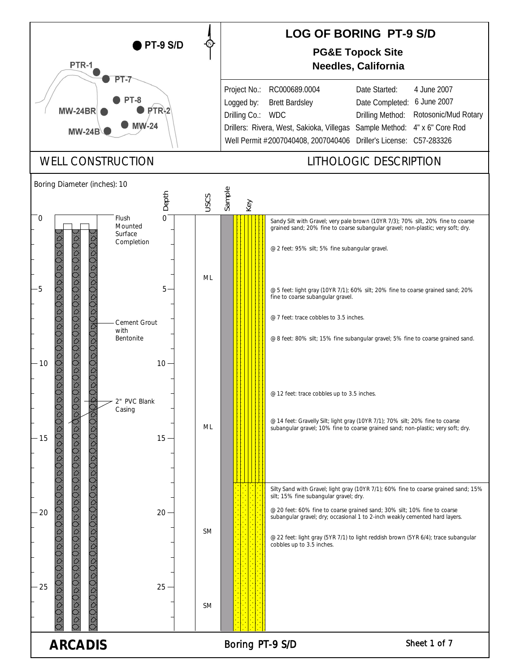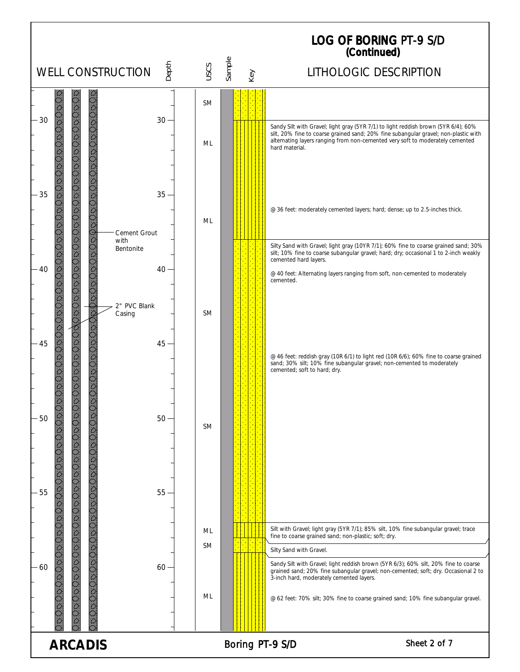## LOG OF BORING (Continued) PT-9 S/D

|                                       |                                   |        |           |        |     | (Continued)                                                                                                                                                                                                                                                                                                                           |
|---------------------------------------|-----------------------------------|--------|-----------|--------|-----|---------------------------------------------------------------------------------------------------------------------------------------------------------------------------------------------------------------------------------------------------------------------------------------------------------------------------------------|
|                                       | <b>WELL CONSTRUCTION</b>          | Depth  | USCS      | Sample | Key | LITHOLOGIC DESCRIPTION                                                                                                                                                                                                                                                                                                                |
| $\breve{\circ}$<br>30                 |                                   | $30 -$ | <b>SM</b> |        |     | Sandy Silt with Gravel; light gray (5YR 7/1) to light reddish brown (5YR 6/4); 60%                                                                                                                                                                                                                                                    |
|                                       |                                   |        | ML        |        |     | silt, 20% fine to coarse grained sand; 20% fine subangular gravel; non-plastic with<br>alternating layers ranging from non-cemented very soft to moderately cemented<br>hard material.                                                                                                                                                |
| Ŏöč.<br>35                            | DODODODODODODODOD                 | $35 -$ | ML        |        |     | @ 36 feet: moderately cemented layers; hard; dense; up to 2.5-inches thick.                                                                                                                                                                                                                                                           |
| $\frac{1}{2}$<br>$-40$                | Cement Grout<br>with<br>Bentonite | $40 -$ |           |        |     | Silty Sand with Gravel; light gray (10YR 7/1); 60% fine to coarse grained sand; 30%<br>silt; 10% fine to coarse subangular gravel; hard; dry; occasional 1 to 2-inch weakly<br>cemented hard layers.<br>@ 40 feet: Alternating layers ranging from soft, non-cemented to moderately                                                   |
| JRUD                                  | 2" PVC Blank<br>Casing            |        | <b>SM</b> |        |     | cemented.                                                                                                                                                                                                                                                                                                                             |
| XVRORODODODOD<br>$\overline{Q}$<br>45 |                                   | $45 -$ |           |        |     | @ 46 feet: reddish gray (10R 6/1) to light red (10R 6/6); 60% fine to coarse grained<br>sand; 30% silt; 10% fine subangular gravel; non-cemented to moderately<br>cemented; soft to hard; dry.                                                                                                                                        |
| 50                                    |                                   | $50 -$ | <b>SM</b> |        |     |                                                                                                                                                                                                                                                                                                                                       |
| DUDOODO<br>$-55$<br>DODO<br>O         | <b>DODD</b>                       | $55 -$ |           |        |     |                                                                                                                                                                                                                                                                                                                                       |
|                                       |                                   |        | ML        |        |     | Silt with Gravel; light gray (5YR 7/1); 85% silt, 10% fine subangular gravel; trace                                                                                                                                                                                                                                                   |
|                                       |                                   |        | <b>SM</b> |        |     | fine to coarse grained sand; non-plastic; soft; dry.                                                                                                                                                                                                                                                                                  |
| 60                                    |                                   | 60     | ML        |        |     | Silty Sand with Gravel.<br>Sandy Silt with Gravel; light reddish brown (5YR 6/3); 60% silt, 20% fine to coarse<br>grained sand; 20% fine subangular gravel; non-cemented; soft; dry. Occasional 2 to<br>3-inch hard, moderately cemented layers.<br>@ 62 feet: 70% silt; 30% fine to coarse grained sand; 10% fine subangular gravel. |
| <b>ARCADIS</b>                        |                                   |        |           |        |     | Sheet 2 of 7<br>Boring PT-9 S/D                                                                                                                                                                                                                                                                                                       |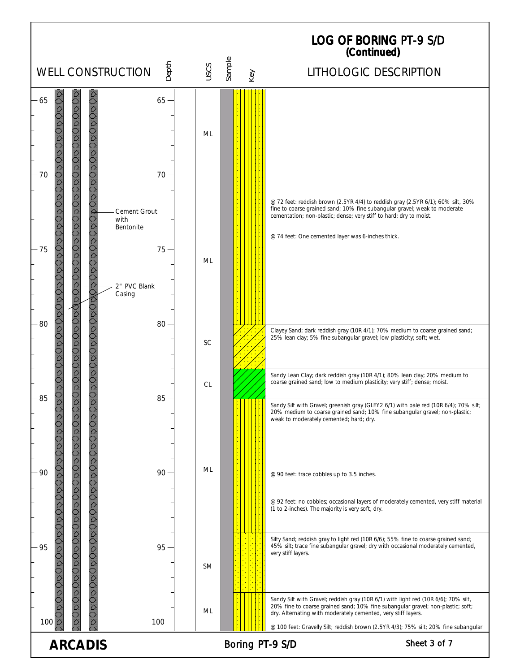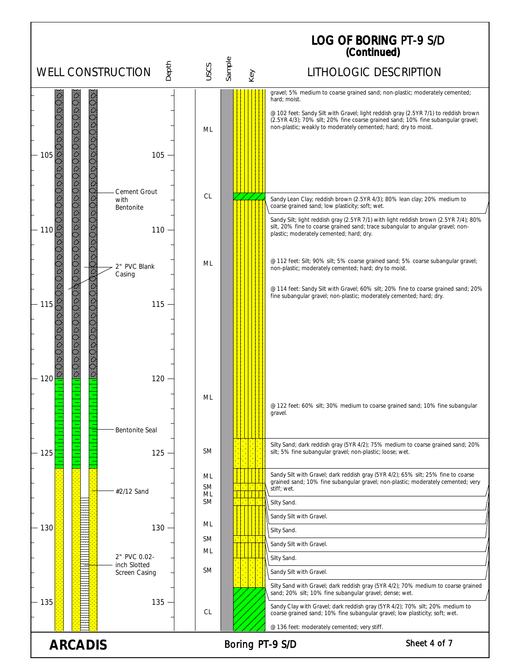## LOG OF BORING (Continued) PT-9 S/D

|                      |                              |                       |                 | <i>(Collumed)</i>                                                                                                                                                                                                                          |
|----------------------|------------------------------|-----------------------|-----------------|--------------------------------------------------------------------------------------------------------------------------------------------------------------------------------------------------------------------------------------------|
|                      | <b>WELL CONSTRUCTION</b>     | Depth<br>USCS         | Sample<br>Key   | LITHOLOGIC DESCRIPTION                                                                                                                                                                                                                     |
|                      |                              |                       |                 | gravel; 5% medium to coarse grained sand; non-plastic; moderately cemented;<br>hard; moist.                                                                                                                                                |
| ÖD.<br>105           | <b>DDD</b>                   | ML<br>105             |                 | @ 102 feet: Sandy Silt with Gravel; light reddish gray (2.5YR 7/1) to reddish brown<br>(2.5YR 4/3); 70% silt; 20% fine coarse grained sand; 10% fine subangular gravel;<br>non-plastic; weakly to moderately cemented; hard; dry to moist. |
|                      | <b>Cement Grout</b>          |                       |                 |                                                                                                                                                                                                                                            |
|                      | with<br>Bentonite            | <b>CL</b>             |                 | Sandy Lean Clay; reddish brown (2.5YR 4/3); 80% lean clay; 20% medium to<br>coarse grained sand; low plasticity; soft; wet.                                                                                                                |
|                      |                              |                       |                 | Sandy Silt; light reddish gray (2.5YR 7/1) with light reddish brown (2.5YR 7/4); 80%                                                                                                                                                       |
| $\frac{1}{2}$<br>110 |                              | 110                   |                 | silt, 20% fine to coarse grained sand; trace subangular to angular gravel; non-<br>plastic; moderately cemented; hard; dry.                                                                                                                |
|                      | 2" PVC Blank<br>Casing       | ML                    |                 | @ 112 feet: Silt; 90% silt; 5% coarse grained sand; 5% coarse subangular gravel;<br>non-plastic; moderately cemented; hard; dry to moist.                                                                                                  |
|                      |                              |                       |                 | @ 114 feet: Sandy Silt with Gravel; 60% silt; 20% fine to coarse grained sand; 20%<br>fine subangular gravel; non-plastic; moderately cemented; hard; dry.                                                                                 |
| $-115$               |                              | $115 -$               |                 |                                                                                                                                                                                                                                            |
| 120                  | $\overline{\hat{C}}$<br>120  |                       |                 |                                                                                                                                                                                                                                            |
|                      | <b>Bentonite Seal</b>        | ML                    |                 | @ 122 feet: 60% silt; 30% medium to coarse grained sand; 10% fine subangular<br>gravel.                                                                                                                                                    |
| $-125$               | 125                          | <b>SM</b>             |                 | Silty Sand; dark reddish gray (5YR 4/2); 75% medium to coarse grained sand; 20%<br>silt; 5% fine subangular gravel; non-plastic; loose; wet.                                                                                               |
|                      | #2/12 Sand                   | ML<br><b>SM</b><br>ML |                 | Sandy Silt with Gravel; dark reddish gray (5YR 4/2); 65% silt; 25% fine to coarse<br>grained sand; 10% fine subangular gravel; non-plastic; moderately cemented; very<br>stiff; wet.                                                       |
|                      |                              | <b>SM</b>             |                 | Silty Sand.                                                                                                                                                                                                                                |
|                      |                              | ML                    |                 | Sandy Silt with Gravel.                                                                                                                                                                                                                    |
| - 130                |                              | $130 -$<br><b>SM</b>  |                 | Silty Sand.                                                                                                                                                                                                                                |
|                      |                              | ML                    |                 | Sandy Silt with Gravel.                                                                                                                                                                                                                    |
|                      | 2" PVC 0.02-<br>inch Slotted |                       |                 | Silty Sand.                                                                                                                                                                                                                                |
|                      | Screen Casing                | <b>SM</b>             |                 | Sandy Silt with Gravel.                                                                                                                                                                                                                    |
| 135                  |                              | $135 -$<br>CL         |                 | Silty Sand with Gravel; dark reddish gray (5YR 4/2); 70% medium to coarse grained<br>sand; 20% silt; 10% fine subangular gravel; dense; wet.<br>Sandy Clay with Gravel; dark reddish gray (5YR 4/2); 70% silt; 20% medium to               |
|                      |                              |                       |                 | coarse grained sand; 10% fine subangular gravel; low plasticity; soft; wet.<br>@ 136 feet: moderately cemented; very stiff.                                                                                                                |
| <b>ARCADIS</b>       |                              |                       | Boring PT-9 S/D | Sheet 4 of 7                                                                                                                                                                                                                               |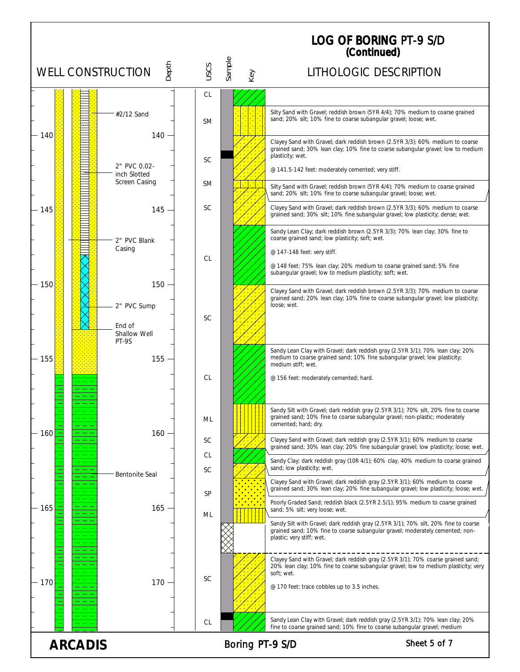|                                                   |                              |                 |               | <b>LOG OF BORING PT-9 S/D</b><br>(Continued)                                                                                                                                                      |  |  |
|---------------------------------------------------|------------------------------|-----------------|---------------|---------------------------------------------------------------------------------------------------------------------------------------------------------------------------------------------------|--|--|
| <b>WELL CONSTRUCTION</b>                          | Depth                        | USCS            | Sample<br>Key | LITHOLOGIC DESCRIPTION                                                                                                                                                                            |  |  |
|                                                   |                              | CL              |               |                                                                                                                                                                                                   |  |  |
|                                                   | #2/12 Sand                   | <b>SM</b>       |               | Silty Sand with Gravel; reddish brown (5YR 4/4); 70% medium to coarse grained<br>sand; 20% silt; 10% fine to coarse subangular gravel; loose; wet.                                                |  |  |
| 140                                               | $140 -$                      | <b>SC</b>       |               | Clayey Sand with Gravel; dark reddish brown (2.5YR 3/3); 60% medium to coarse<br>grained sand; 30% lean clay; 10% fine to coarse subangular gravel; low to medium<br>plasticity; wet.             |  |  |
|                                                   | 2" PVC 0.02-<br>inch Slotted |                 |               | @ 141.5-142 feet: moderately cemented; very stiff.                                                                                                                                                |  |  |
|                                                   | <b>Screen Casing</b>         | <b>SM</b>       | <b>COL</b>    | Silty Sand with Gravel; reddish brown (5YR 4/4); 70% medium to coarse grained<br>sand; 20% silt; 10% fine to coarse subangular gravel; loose; wet.                                                |  |  |
| 145                                               | $145 -$                      | <b>SC</b>       |               | Clayey Sand with Gravel; dark reddish brown (2.5YR 3/3); 60% medium to coarse<br>grained sand; 30% silt; 10% fine subangular gravel; low plasticity; dense; wet.                                  |  |  |
|                                                   | 2" PVC Blank                 |                 |               | Sandy Lean Clay; dark reddish brown (2.5YR 3/3); 70% lean clay; 30% fine to<br>coarse grained sand; low plasticity; soft; wet.                                                                    |  |  |
|                                                   | Casing                       | <b>CL</b>       |               | @ 147-148 feet: very stiff.                                                                                                                                                                       |  |  |
| 150                                               | 150                          |                 |               | @ 148 feet: 75% lean clay; 20% medium to coarse grained sand; 5% fine<br>subangular gravel; low to medium plasticity; soft; wet.                                                                  |  |  |
|                                                   | 2" PVC Sump                  |                 |               | Clayey Sand with Gravel; dark reddish brown (2.5YR 3/3); 70% medium to coarse<br>grained sand; 20% lean clay; 10% fine to coarse subangular gravel; low plasticity;<br>loose; wet.                |  |  |
|                                                   | End of                       | <b>SC</b>       |               |                                                                                                                                                                                                   |  |  |
|                                                   | Shallow Well<br>PT-9S        |                 |               |                                                                                                                                                                                                   |  |  |
| 155                                               | $155 -$                      |                 |               | Sandy Lean Clay with Gravel; dark reddish gray (2.5YR 3/1); 70% lean clay; 20%<br>medium to coarse grained sand; 10% fine subangular gravel; low plasticity;<br>medium stiff; wet.                |  |  |
|                                                   |                              | <b>CL</b>       |               | @ 156 feet: moderately cemented; hard.                                                                                                                                                            |  |  |
|                                                   |                              |                 |               | Sandy Silt with Gravel; dark reddish gray (2.5YR 3/1); 70% silt, 20% fine to coarse                                                                                                               |  |  |
| 160                                               | $160 -$                      | ML              |               | grained sand; 10% fine to coarse subangular gravel; non-plastic; moderately<br>cemented; hard; dry.                                                                                               |  |  |
|                                                   |                              | <b>SC</b>       |               | Clayey Sand with Gravel; dark reddish gray (2.5YR 3/1); 60% medium to coarse<br>grained sand; 30% lean clay; 20% fine subangular gravel; low plasticity; loose; wet.                              |  |  |
|                                                   |                              | CL<br><b>SC</b> |               | Sandy Clay; dark reddish gray (10R 4/1); 60% clay, 40% medium to coarse grained<br>sand; low plasticity; wet.                                                                                     |  |  |
|                                                   | <b>Bentonite Seal</b>        | SP              |               | Clayey Sand with Gravel; dark reddish gray (2.5YR 3/1); 60% medium to coarse<br>grained sand; 30% lean clay; 20% fine subangular gravel; low plasticity; loose; wet.                              |  |  |
| 165                                               | $165 -$                      | ML              |               | Poorly Graded Sand; reddish black (2.5YR 2.5/1); 95% medium to coarse grained<br>sand; 5% silt; very loose; wet.                                                                                  |  |  |
|                                                   |                              |                 |               | Sandy Silt with Gravel; dark reddish gray (2.5YR 3/1); 70% silt, 20% fine to coarse<br>grained sand; 10% fine to coarse subangular gravel; moderately cemented; non-<br>plastic; very stiff; wet. |  |  |
|                                                   |                              |                 |               |                                                                                                                                                                                                   |  |  |
|                                                   |                              |                 |               | Clayey Sand with Gravel; dark reddish gray (2.5YR 3/1); 70% coarse grained sand;<br>20% lean clay; 10% fine to coarse subangular gravel; low to medium plasticity; very<br>soft; wet.             |  |  |
| 170                                               | $170 -$                      | <b>SC</b>       |               | @ 170 feet: trace cobbles up to 3.5 inches.                                                                                                                                                       |  |  |
|                                                   |                              |                 |               |                                                                                                                                                                                                   |  |  |
|                                                   |                              | <b>CL</b>       |               | Sandy Lean Clay with Gravel; dark reddish gray (2.5YR 3/1); 70% lean clay; 20%<br>fine to coarse grained sand; 10% fine to coarse subangular gravel; medium                                       |  |  |
| Sheet 5 of 7<br>Boring PT-9 S/D<br><b>ARCADIS</b> |                              |                 |               |                                                                                                                                                                                                   |  |  |

٦Ì,

 $\blacksquare$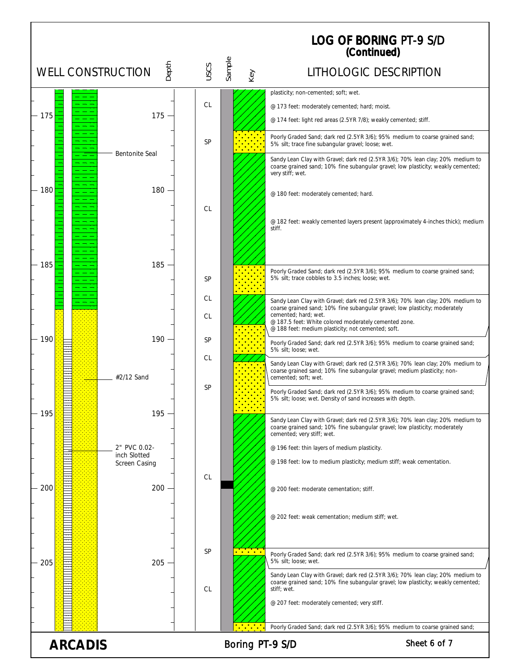|        |                               |         |           |        |                                                           | <b>LOG OF BORING PT-9 S/D</b><br>(Continued)                                                                                                                                                                                                    |
|--------|-------------------------------|---------|-----------|--------|-----------------------------------------------------------|-------------------------------------------------------------------------------------------------------------------------------------------------------------------------------------------------------------------------------------------------|
|        | <b>WELL CONSTRUCTION</b>      | Depth   | USCS      | Sample | Key                                                       | LITHOLOGIC DESCRIPTION                                                                                                                                                                                                                          |
|        |                               |         |           |        |                                                           | plasticity; non-cemented; soft; wet.                                                                                                                                                                                                            |
| 175    |                               | $175 -$ | <b>CL</b> |        |                                                           | @ 173 feet: moderately cemented; hard; moist.                                                                                                                                                                                                   |
|        |                               |         |           |        |                                                           | @ 174 feet: light red areas (2.5YR 7/8); weakly cemented; stiff.                                                                                                                                                                                |
|        |                               |         | <b>SP</b> |        |                                                           | Poorly Graded Sand; dark red (2.5YR 3/6); 95% medium to coarse grained sand;<br>5% silt; trace fine subangular gravel; loose; wet.                                                                                                              |
|        | <b>Bentonite Seal</b>         |         |           |        |                                                           | Sandy Lean Clay with Gravel; dark red (2.5YR 3/6); 70% lean clay; 20% medium to<br>coarse grained sand; 10% fine subangular gravel; low plasticity; weakly cemented;<br>very stiff; wet.                                                        |
| 180    |                               | 180     |           |        |                                                           | @ 180 feet: moderately cemented; hard.                                                                                                                                                                                                          |
|        |                               |         | <b>CL</b> |        |                                                           |                                                                                                                                                                                                                                                 |
|        |                               |         |           |        |                                                           | @ 182 feet: weakly cemented layers present (approximately 4-inches thick); medium<br>stiff.                                                                                                                                                     |
|        |                               |         |           |        |                                                           |                                                                                                                                                                                                                                                 |
| - 185  |                               | $185 -$ | SP        |        |                                                           | Poorly Graded Sand; dark red (2.5YR 3/6); 95% medium to coarse grained sand;<br>5% silt; trace cobbles to 3.5 inches; loose; wet.                                                                                                               |
|        |                               |         | CL.       |        |                                                           |                                                                                                                                                                                                                                                 |
|        |                               |         | CL.       |        |                                                           | Sandy Lean Clay with Gravel; dark red (2.5YR 3/6); 70% lean clay; 20% medium to<br>coarse grained sand; 10% fine subangular gravel; low plasticity; moderately<br>cemented; hard; wet.<br>@ 187.5 feet: White colored moderately cemented zone. |
| $-190$ |                               | 190     | <b>SP</b> |        |                                                           | @ 188 feet: medium plasticity; not cemented; soft.                                                                                                                                                                                              |
|        |                               |         |           |        |                                                           | Poorly Graded Sand; dark red (2.5YR 3/6); 95% medium to coarse grained sand;<br>5% silt; loose; wet.                                                                                                                                            |
|        | #2/12 Sand                    |         | СL        |        |                                                           | Sandy Lean Clay with Gravel; dark red (2.5YR 3/6); 70% lean clay; 20% medium to<br>coarse grained sand; 10% fine subangular gravel; medium plasticity; non-<br>cemented; soft; wet.                                                             |
|        |                               |         | <b>SP</b> |        |                                                           | Poorly Graded Sand; dark red (2.5YR 3/6); 95% medium to coarse grained sand;<br>5% silt; loose; wet. Density of sand increases with depth.                                                                                                      |
| $-195$ |                               | 195     |           |        | <u>.</u>                                                  | Sandy Lean Clay with Gravel; dark red (2.5YR 3/6); 70% lean clay; 20% medium to<br>coarse grained sand; 10% fine subangular gravel; low plasticity; moderately<br>cemented; very stiff; wet.                                                    |
|        | 2" PVC 0.02-                  |         |           |        |                                                           | @ 196 feet: thin layers of medium plasticity.                                                                                                                                                                                                   |
|        | inch Slotted<br>Screen Casing |         |           |        |                                                           | @ 198 feet: low to medium plasticity; medium stiff; weak cementation.                                                                                                                                                                           |
| $-200$ |                               | 200     | CL        |        |                                                           | @ 200 feet: moderate cementation; stiff.                                                                                                                                                                                                        |
|        |                               |         |           |        |                                                           | @ 202 feet: weak cementation; medium stiff; wet.                                                                                                                                                                                                |
| $-205$ |                               | 205     | <b>SP</b> |        | $\dddot{\bullet}$ , $\dddot{\bullet}$ , $\dddot{\bullet}$ | Poorly Graded Sand; dark red (2.5YR 3/6); 95% medium to coarse grained sand;<br>5% silt; loose; wet.                                                                                                                                            |
|        |                               |         | CL        |        |                                                           | Sandy Lean Clay with Gravel; dark red (2.5YR 3/6); 70% lean clay; 20% medium to<br>coarse grained sand; 10% fine subangular gravel; low plasticity; weakly cemented;<br>stiff; wet.                                                             |
|        |                               |         |           |        |                                                           | @ 207 feet: moderately cemented; very stiff.                                                                                                                                                                                                    |
|        |                               |         |           |        | <u>.</u>                                                  | Poorly Graded Sand; dark red (2.5YR 3/6); 95% medium to coarse grained sand;                                                                                                                                                                    |

ARCADIS Boring PT-9 S/D Sheet 6 of 7